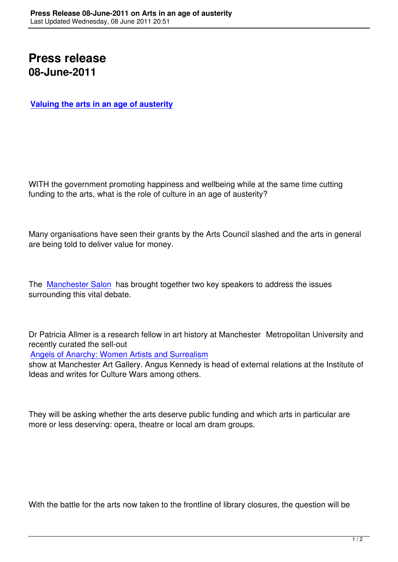## **Press release 08-June-2011**

## **Valuing the arts in an age of austerity**

WITH the government promoting happiness and wellbeing while at the same time cutting funding to the arts, what is the role of culture in an age of austerity?

Many organisations have seen their grants by the Arts Council slashed and the arts in general are being told to deliver value for money.

The Manchester Salon has brought together two key speakers to address the issues surrounding this vital debate.

Dr Patricia Allmer is a research fellow in art history at Manchester Metropolitan University and recently curated the sell-out

Angels of Anarchy: Women Artists and Surrealism

show at Manchester Art Gallery. Angus Kennedy is head of external relations at the Institute of Ideas and writes for Culture Wars among others.

They will be asking whether the arts deserve public funding and which arts in particular are more or less deserving: opera, theatre or local am dram groups.

With the battle for the arts now taken to the frontline of library closures, the question will be